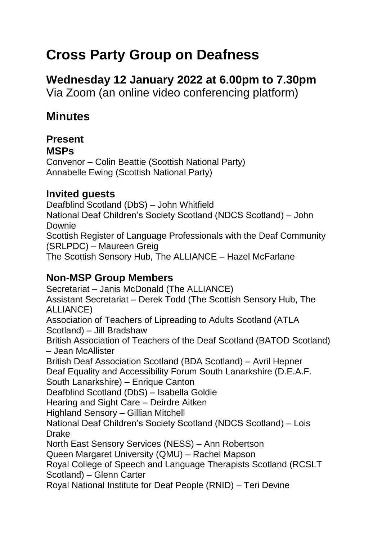## **Cross Party Group on Deafness**

# **Wednesday 12 January 2022 at 6.00pm to 7.30pm**

Via Zoom (an online video conferencing platform)

## **Minutes**

#### **Present MSPs**

Convenor – Colin Beattie (Scottish National Party) Annabelle Ewing (Scottish National Party)

#### **Invited guests**

Deafblind Scotland (DbS) – John Whitfield National Deaf Children's Society Scotland (NDCS Scotland) – John Downie Scottish Register of Language Professionals with the Deaf Community (SRLPDC) – Maureen Greig The Scottish Sensory Hub, The ALLIANCE – Hazel McFarlane

### **Non-MSP Group Members**

Secretariat – Janis McDonald (The ALLIANCE) Assistant Secretariat – Derek Todd (The Scottish Sensory Hub, The ALLIANCE) Association of Teachers of Lipreading to Adults Scotland (ATLA Scotland) – Jill Bradshaw British Association of Teachers of the Deaf Scotland (BATOD Scotland) – Jean McAllister British Deaf Association Scotland (BDA Scotland) – Avril Hepner Deaf Equality and Accessibility Forum South Lanarkshire (D.E.A.F. South Lanarkshire) – Enrique Canton Deafblind Scotland (DbS) – Isabella Goldie Hearing and Sight Care – Deirdre Aitken Highland Sensory – Gillian Mitchell National Deaf Children's Society Scotland (NDCS Scotland) – Lois Drake North East Sensory Services (NESS) – Ann Robertson Queen Margaret University (QMU) – Rachel Mapson Royal College of Speech and Language Therapists Scotland (RCSLT Scotland) – Glenn Carter Royal National Institute for Deaf People (RNID) – Teri Devine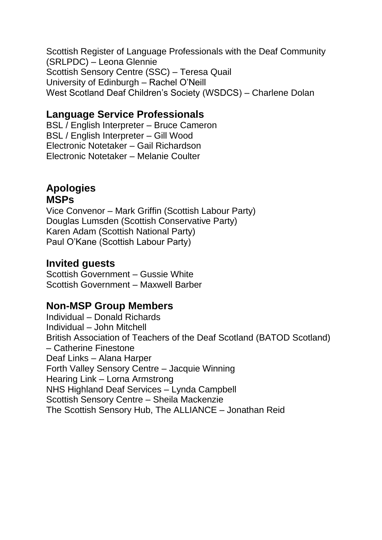Scottish Register of Language Professionals with the Deaf Community (SRLPDC) – Leona Glennie Scottish Sensory Centre (SSC) – Teresa Quail University of Edinburgh – Rachel O'Neill West Scotland Deaf Children's Society (WSDCS) – Charlene Dolan

#### **Language Service Professionals**

BSL / English Interpreter – Bruce Cameron BSL / English Interpreter – Gill Wood Electronic Notetaker – Gail Richardson Electronic Notetaker – Melanie Coulter

## **Apologies**

#### **MSPs**

Vice Convenor – Mark Griffin (Scottish Labour Party) Douglas Lumsden (Scottish Conservative Party) Karen Adam (Scottish National Party) Paul O'Kane (Scottish Labour Party)

#### **Invited guests**

Scottish Government – Gussie White Scottish Government – Maxwell Barber

#### **Non-MSP Group Members**

Individual – Donald Richards Individual – John Mitchell British Association of Teachers of the Deaf Scotland (BATOD Scotland) – Catherine Finestone Deaf Links – Alana Harper Forth Valley Sensory Centre – Jacquie Winning Hearing Link – Lorna Armstrong NHS Highland Deaf Services – Lynda Campbell Scottish Sensory Centre – Sheila Mackenzie The Scottish Sensory Hub, The ALLIANCE – Jonathan Reid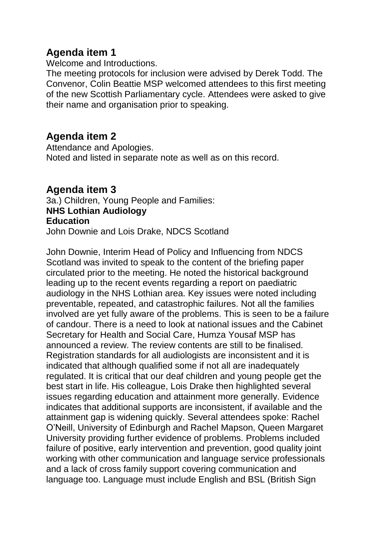#### **Agenda item 1**

Welcome and Introductions.

The meeting protocols for inclusion were advised by Derek Todd. The Convenor, Colin Beattie MSP welcomed attendees to this first meeting of the new Scottish Parliamentary cycle. Attendees were asked to give their name and organisation prior to speaking.

#### **Agenda item 2**

Attendance and Apologies. Noted and listed in separate note as well as on this record.

#### **Agenda item 3** 3a.) Children, Young People and Families: **NHS Lothian Audiology Education** John Downie and Lois Drake, NDCS Scotland

John Downie, Interim Head of Policy and Influencing from NDCS Scotland was invited to speak to the content of the briefing paper circulated prior to the meeting. He noted the historical background leading up to the recent events regarding a report on paediatric audiology in the NHS Lothian area. Key issues were noted including preventable, repeated, and catastrophic failures. Not all the families involved are yet fully aware of the problems. This is seen to be a failure of candour. There is a need to look at national issues and the Cabinet Secretary for Health and Social Care, Humza Yousaf MSP has announced a review. The review contents are still to be finalised. Registration standards for all audiologists are inconsistent and it is indicated that although qualified some if not all are inadequately regulated. It is critical that our deaf children and young people get the best start in life. His colleague, Lois Drake then highlighted several issues regarding education and attainment more generally. Evidence indicates that additional supports are inconsistent, if available and the attainment gap is widening quickly. Several attendees spoke: Rachel O'Neill, University of Edinburgh and Rachel Mapson, Queen Margaret University providing further evidence of problems. Problems included failure of positive, early intervention and prevention, good quality joint working with other communication and language service professionals and a lack of cross family support covering communication and language too. Language must include English and BSL (British Sign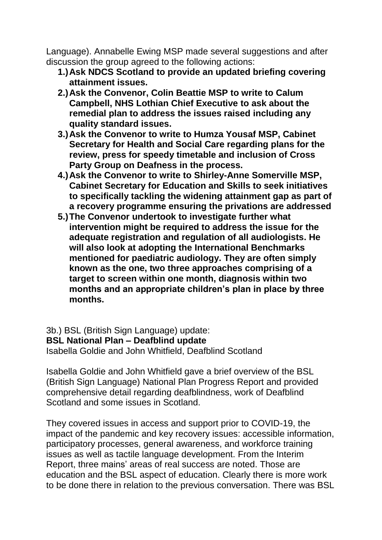Language). Annabelle Ewing MSP made several suggestions and after discussion the group agreed to the following actions:

- **1.)Ask NDCS Scotland to provide an updated briefing covering attainment issues.**
- **2.)Ask the Convenor, Colin Beattie MSP to write to Calum Campbell, NHS Lothian Chief Executive to ask about the remedial plan to address the issues raised including any quality standard issues.**
- **3.)Ask the Convenor to write to Humza Yousaf MSP, Cabinet Secretary for Health and Social Care regarding plans for the review, press for speedy timetable and inclusion of Cross Party Group on Deafness in the process.**
- **4.)Ask the Convenor to write to Shirley-Anne Somerville MSP, Cabinet Secretary for Education and Skills to seek initiatives to specifically tackling the widening attainment gap as part of a recovery programme ensuring the privations are addressed**
- **5.)The Convenor undertook to investigate further what intervention might be required to address the issue for the adequate registration and regulation of all audiologists. He will also look at adopting the International Benchmarks mentioned for paediatric audiology. They are often simply known as the one, two three approaches comprising of a target to screen within one month, diagnosis within two months and an appropriate children's plan in place by three months.**

3b.) BSL (British Sign Language) update: **BSL National Plan – Deafblind update** Isabella Goldie and John Whitfield, Deafblind Scotland

Isabella Goldie and John Whitfield gave a brief overview of the BSL (British Sign Language) National Plan Progress Report and provided comprehensive detail regarding deafblindness, work of Deafblind Scotland and some issues in Scotland.

They covered issues in access and support prior to COVID-19, the impact of the pandemic and key recovery issues: accessible information, participatory processes, general awareness, and workforce training issues as well as tactile language development. From the Interim Report, three mains' areas of real success are noted. Those are education and the BSL aspect of education. Clearly there is more work to be done there in relation to the previous conversation. There was BSL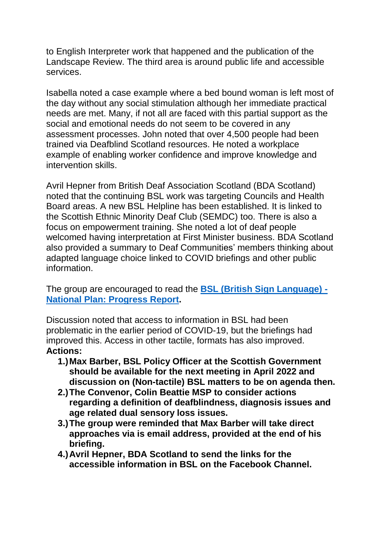to English Interpreter work that happened and the publication of the Landscape Review. The third area is around public life and accessible services.

Isabella noted a case example where a bed bound woman is left most of the day without any social stimulation although her immediate practical needs are met. Many, if not all are faced with this partial support as the social and emotional needs do not seem to be covered in any assessment processes. John noted that over 4,500 people had been trained via Deafblind Scotland resources. He noted a workplace example of enabling worker confidence and improve knowledge and intervention skills.

Avril Hepner from British Deaf Association Scotland (BDA Scotland) noted that the continuing BSL work was targeting Councils and Health Board areas. A new BSL Helpline has been established. It is linked to the Scottish Ethnic Minority Deaf Club (SEMDC) too. There is also a focus on empowerment training. She noted a lot of deaf people welcomed having interpretation at First Minister business. BDA Scotland also provided a summary to Deaf Communities' members thinking about adapted language choice linked to COVID briefings and other public information.

The group are encouraged to read the **[BSL \(British Sign Language\) -](https://www.gov.scot/publications/british-sign-language-progress-report/) [National Plan: Progress Report.](https://www.gov.scot/publications/british-sign-language-progress-report/)**

Discussion noted that access to information in BSL had been problematic in the earlier period of COVID-19, but the briefings had improved this. Access in other tactile, formats has also improved. **Actions:** 

- **1.)Max Barber, BSL Policy Officer at the Scottish Government should be available for the next meeting in April 2022 and discussion on (Non-tactile) BSL matters to be on agenda then.**
- **2.)The Convenor, Colin Beattie MSP to consider actions regarding a definition of deafblindness, diagnosis issues and age related dual sensory loss issues.**
- **3.)The group were reminded that Max Barber will take direct approaches via is email address, provided at the end of his briefing.**
- **4.)Avril Hepner, BDA Scotland to send the links for the accessible information in BSL on the Facebook Channel.**